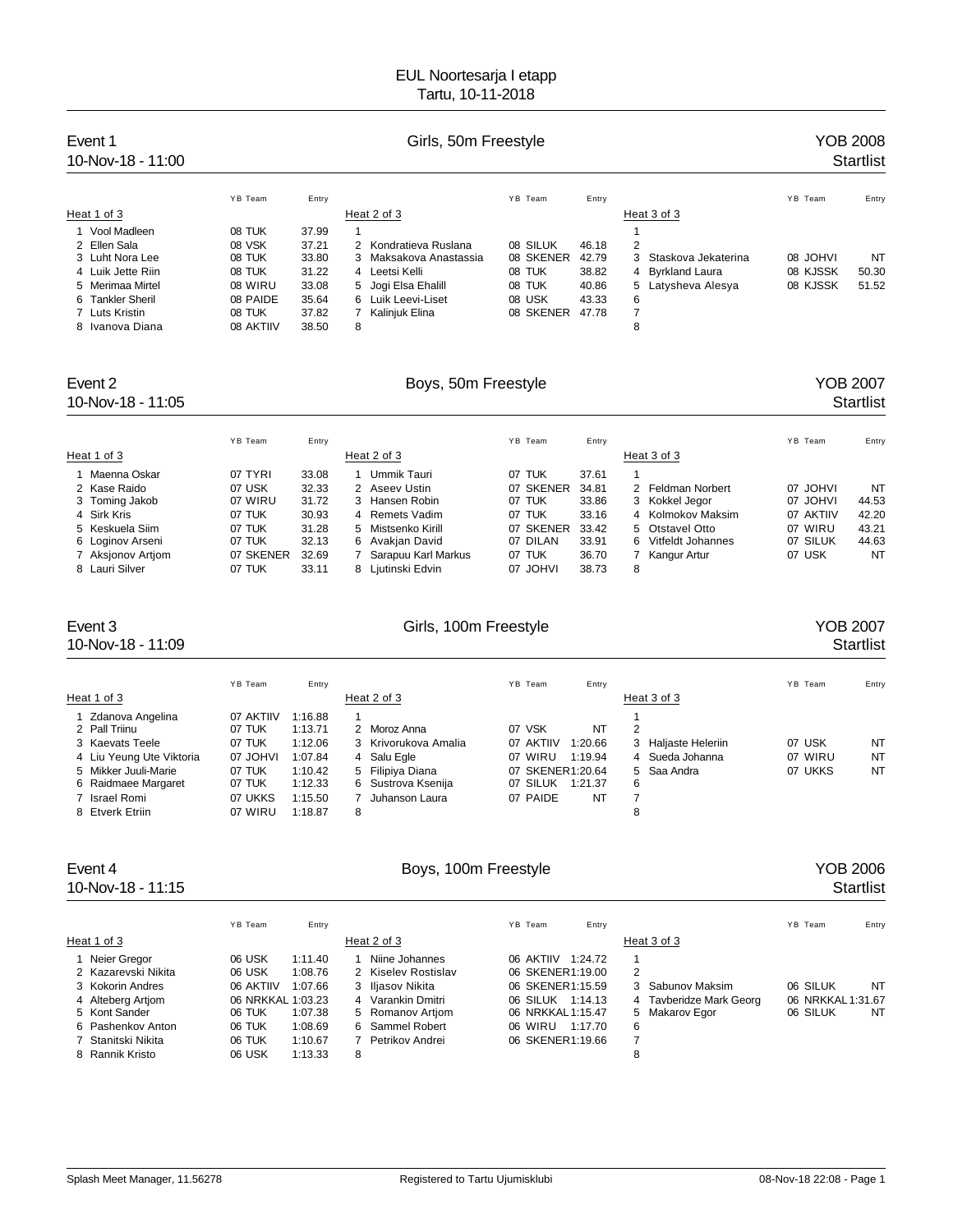| Event 1<br>10-Nov-18 - 11:00 | Girls, 50m Freestyle |       |                                             |           |       |                          |          | <b>YOB 2008</b><br><b>Startlist</b> |
|------------------------------|----------------------|-------|---------------------------------------------|-----------|-------|--------------------------|----------|-------------------------------------|
|                              | YB Team              | Entry |                                             | YB Team   | Entry |                          | YB Team  | Entry                               |
| Heat 1 of 3                  |                      |       | Heat 2 of 3                                 |           |       | Heat 3 of 3              |          |                                     |
| 1 Vool Madleen               | 08 TUK               | 37.99 |                                             |           |       |                          |          |                                     |
| 2 Ellen Sala                 | 08 VSK               | 37.21 | Kondratieva Ruslana<br>$\mathcal{P} \equiv$ | 08 SILUK  | 46.18 | 2                        |          |                                     |
| 3 Luht Nora Lee              | 08 TUK               | 33.80 | Maksakova Anastassia<br>3                   | 08 SKENER | 42.79 | Staskova Jekaterina<br>3 | 08 JOHVI | NT                                  |
| 4 Luik Jette Riin            | 08 TUK               | 31.22 | 4 Leetsi Kelli                              | 08 TUK    | 38.82 | 4 Byrkland Laura         | 08 KJSSK | 50.30                               |
| 5 Merimaa Mirtel             | 08 WIRU              | 33.08 | 5 Jogi Elsa Ehalill                         | 08 TUK    | 40.86 | 5 Latysheva Alesya       | 08 KJSSK | 51.52                               |
| 6 Tankler Sheril             | 08 PAIDE             | 35.64 | 6 Luik Leevi-Liset                          | 08 USK    | 43.33 | 6                        |          |                                     |
| 7 Luts Kristin               | 08 TUK               | 37.82 | Kalinjuk Elina                              | 08 SKENER | 47.78 |                          |          |                                     |
| 8 Ivanova Diana              | 08 AKTIIV            | 38.50 | 8                                           |           |       | 8                        |          |                                     |

## 10-Nov-18 - 11:05 Startlist

### Event 2 Contract 2 Contract Boys, 50m Freestyle Contract 2 Contract 2 Contract 2 Contract 2 Contract 2 Contract 2

|                   | YB Team   | Entry |   |                     | YB Team   | Entry |   |                     | YB Team   | Entry |
|-------------------|-----------|-------|---|---------------------|-----------|-------|---|---------------------|-----------|-------|
| Heat 1 of 3       |           |       |   | Heat 2 of 3         |           |       |   | Heat 3 of 3         |           |       |
| Maenna Oskar      | 07 TYRI   | 33.08 |   | Ummik Tauri         | 07 TUK    | 37.61 |   |                     |           |       |
| 2 Kase Raido      | 07 USK    | 32.33 |   | 2 Aseev Ustin       | 07 SKENER | 34.81 |   | 2 Feldman Norbert   | 07 JOHVI  | NT    |
| 3 Toming Jakob    | 07 WIRU   | 31.72 | 3 | Hansen Robin        | 07 TUK    | 33.86 |   | 3 Kokkel Jegor      | 07 JOHVI  | 44.53 |
| 4 Sirk Kris       | 07 TUK    | 30.93 |   | 4 Remets Vadim      | 07 TUK    | 33.16 |   | 4 Kolmokov Maksim   | 07 AKTIIV | 42.20 |
| 5 Keskuela Siim   | 07 TUK    | 31.28 |   | 5 Mistsenko Kirill  | 07 SKENER | 33.42 |   | 5 Otstavel Otto     | 07 WIRU   | 43.21 |
| 6 Loginov Arseni  | 07 TUK    | 32.13 |   | 6 Avakian David     | 07 DILAN  | 33.91 |   | 6 Vitfeldt Johannes | 07 SILUK  | 44.63 |
| 7 Aksjonov Artjom | 07 SKENER | 32.69 |   | Sarapuu Karl Markus | 07 TUK    | 36.70 |   | 7 Kangur Artur      | 07 USK    | NT    |
| 8 Lauri Silver    | 07 TUK    | 33.11 |   | 8 Liutinski Edvin   | 07 JOHVI  | 38.73 | 8 |                     |           |       |

10-Nov-18 - 11:09 Startlist

### Event 3 Girls, 100m Freestyle Communications of the YOB 2007

|                                             | YB Team             | Entry              |                                        | YB Team<br>Entry                        |                        | YB Team | Entry     |
|---------------------------------------------|---------------------|--------------------|----------------------------------------|-----------------------------------------|------------------------|---------|-----------|
| Heat 1 of 3                                 |                     |                    | Heat 2 of 3                            |                                         | Heat 3 of 3            |         |           |
| 1 Zdanova Angelina<br>2 Pall Triinu         | 07 AKTIIV<br>07 TUK | 1:16.88<br>1:13.71 | 2 Moroz Anna                           | 07 VSK<br>NT                            | 2                      |         |           |
| 3 Kaevats Teele                             | 07 TUK              | 1:12.06            | 3 Krivorukova Amalia                   | 07 AKTIIV<br>1:20.66                    | Haljaste Heleriin<br>3 | 07 USK  | NT        |
| 4 Liu Yeung Ute Viktoria                    | 07 JOHVI            | 1:07.84            | 4 Salu Egle                            | 07 WIRU<br>1:19.94                      | 4 Sueda Johanna        | 07 WIRU | <b>NT</b> |
| 5 Mikker Juuli-Marie<br>6 Raidmaee Margaret | 07 TUK<br>07 TUK    | 1:10.42<br>1:12.33 | 5 Filipiya Diana<br>6 Sustrova Ksenija | 07 SKENER1:20.64<br>07 SILUK<br>1:21.37 | 5 Saa Andra<br>6       | 07 UKKS | <b>NT</b> |
| 7 Israel Romi                               | 07 UKKS             | 1:15.50            | Juhanson Laura                         | 07 PAIDE<br>NT                          |                        |         |           |
| 8 Etverk Etriin                             | 07 WIRU             | 1:18.87            | 8                                      |                                         | 8                      |         |           |

# 10-Nov-18 - 11:15 Startlist

### Event 4 Company 2006 Boys, 100m Freestyle Company 2006 2006

|                     | YB Team           | Entry   |   |                     | YB Team           | Entry   |                         | YB Team |                   | Entry |
|---------------------|-------------------|---------|---|---------------------|-------------------|---------|-------------------------|---------|-------------------|-------|
| Heat 1 of 3         |                   |         |   | Heat 2 of 3         |                   |         | Heat 3 of 3             |         |                   |       |
| Neier Gregor        | 06 USK            | 1:11.40 |   | Niine Johannes      | 06 AKTIIV         | 1:24.72 |                         |         |                   |       |
| 2 Kazarevski Nikita | 06 USK            | 1:08.76 |   | 2 Kiselev Rostislav | 06 SKENER1:19.00  |         | 2                       |         |                   |       |
| 3 Kokorin Andres    | 06 AKTIIV         | 1:07.66 |   | 3 Iliasov Nikita    | 06 SKENER1:15.59  |         | 3 Sabunov Maksim        |         | 06 SILUK          | NT    |
| 4 Alteberg Artiom   | 06 NRKKAL 1:03.23 |         |   | 4 Varankin Dmitri   | 06 SILUK          | 1:14.13 | 4 Tayberidze Mark Georg |         | 06 NRKKAL 1:31.67 |       |
| 5 Kont Sander       | 06 TUK            | 1:07.38 |   | 5 Romanov Artiom    | 06 NRKKAL 1:15.47 |         | 5 Makarov Egor          |         | 06 SILUK          | NT    |
| 6 Pashenkov Anton   | 06 TUK            | 1:08.69 |   | 6 Sammel Robert     | 06 WIRU           | 1:17.70 | 6                       |         |                   |       |
| 7 Stanitski Nikita  | 06 TUK            | 1:10.67 |   | Petrikov Andrei     | 06 SKENER1:19.66  |         | 7                       |         |                   |       |
| 8 Rannik Kristo     | 06 USK            | 1:13.33 | 8 |                     |                   |         | 8                       |         |                   |       |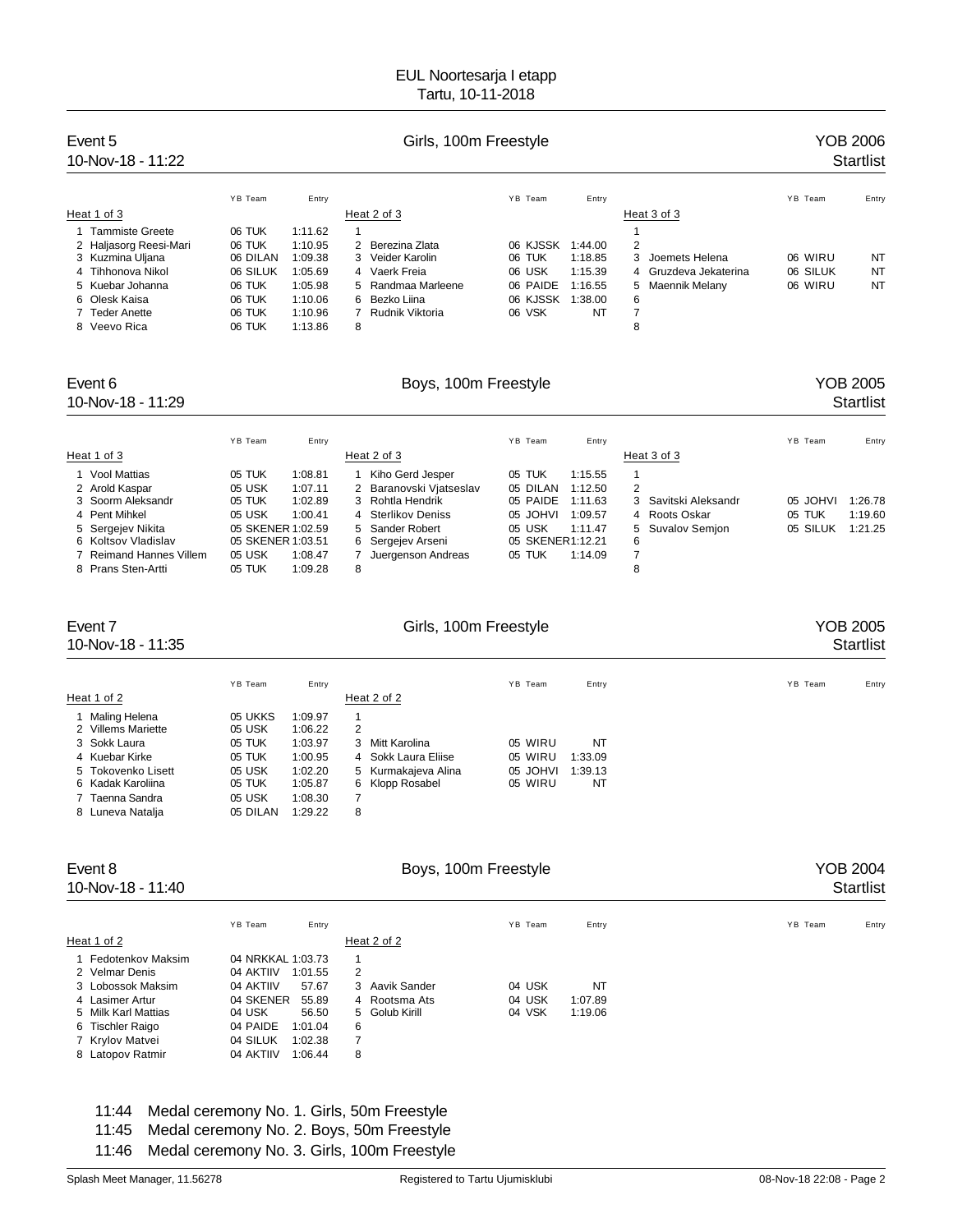| Event 5<br>10-Nov-18 - 11:22 | Girls, 100m Freestyle |         |   |                      |          |         |   |                       |         | YOB 2006<br><b>Startlist</b> |           |
|------------------------------|-----------------------|---------|---|----------------------|----------|---------|---|-----------------------|---------|------------------------------|-----------|
|                              | YB Team               | Entry   |   |                      | YB Team  | Entry   |   |                       | YB Team |                              | Entry     |
| Heat 1 of 3                  |                       |         |   | Heat 2 of 3          |          |         |   | Heat 3 of 3           |         |                              |           |
| <b>Tammiste Greete</b>       | 06 TUK                | 1:11.62 |   |                      |          |         |   |                       |         |                              |           |
| 2 Haljasorg Reesi-Mari       | 06 TUK                | 1:10.95 | 2 | Berezina Zlata       | 06 KJSSK | 1:44.00 | 2 |                       |         |                              |           |
| 3 Kuzmina Uljana             | 06 DILAN              | 1:09.38 |   | 3 Veider Karolin     | 06 TUK   | 1:18.85 | 3 | Joemets Helena        |         | 06 WIRU                      | NT        |
| 4 Tihhonova Nikol            | 06 SILUK              | 1:05.69 |   | 4 Vaerk Freia        | 06 USK   | 1:15.39 |   | 4 Gruzdeva Jekaterina |         | 06 SILUK                     | <b>NT</b> |
| 5 Kuebar Johanna             | 06 TUK                | 1:05.98 |   | 5 Randmaa Marleene   | 06 PAIDE | 1:16.55 |   | 5 Maennik Melany      |         | 06 WIRU                      | <b>NT</b> |
| 6 Olesk Kaisa                | 06 TUK                | 1:10.06 |   | 6 Bezko Liina        | 06 KJSSK | 1:38.00 | 6 |                       |         |                              |           |
| Teder Anette                 | 06 TUK                | 1:10.96 |   | Rudnik Viktoria      | 06 VSK   | NT      |   |                       |         |                              |           |
| 8 Veevo Rica                 | 06 TUK                | 1:13.86 | 8 |                      |          |         | 8 |                       |         |                              |           |
| Event 6                      |                       |         |   | Boys, 100m Freestyle |          |         |   |                       |         |                              | YOB 2005  |

### 10-Nov-18 - 11:29 Startlist

|                         | YB Team           | Entry   |   |                         | YB Team          | Entry   |   |                      | YB Team  | Entry   |
|-------------------------|-------------------|---------|---|-------------------------|------------------|---------|---|----------------------|----------|---------|
| Heat 1 of 3             |                   |         |   | Heat 2 of 3             |                  |         |   | Heat 3 of 3          |          |         |
| 1 Vool Mattias          | 05 TUK            | 1:08.81 |   | Kiho Gerd Jesper        | 05 TUK           | 1:15.55 |   |                      |          |         |
| 2 Arold Kaspar          | 05 USK            | 1:07.11 |   | 2 Baranovski Vjatseslav | 05 DILAN         | 1:12.50 | 2 |                      |          |         |
| 3 Soorm Aleksandr       | 05 TUK            | 1:02.89 |   | 3 Rohtla Hendrik        | 05 PAIDE         | 1:11.63 |   | 3 Savitski Aleksandr | 05 JOHVI | 1:26.78 |
| 4 Pent Mihkel           | 05 USK            | 1:00.41 |   | 4 Sterlikov Deniss      | 05 JOHVI         | 1:09.57 |   | 4 Roots Oskar        | 05 TUK   | 1:19.60 |
| 5 Sergejev Nikita       | 05 SKENER 1:02.59 |         |   | 5 Sander Robert         | 05 USK           | 1:11.47 |   | 5 Suvalov Semjon     | 05 SILUK | 1:21.25 |
| 6 Koltsov Vladislav     | 05 SKENER 1:03.51 |         |   | 6 Sergejev Arseni       | 05 SKENER1:12.21 |         | 6 |                      |          |         |
| 7 Reimand Hannes Villem | 05 USK            | 1:08.47 |   | Juergenson Andreas      | 05 TUK           | 1:14.09 |   |                      |          |         |
| 8 Prans Sten-Artti      | 05 TUK            | 1:09.28 | 8 |                         |                  |         | 8 |                      |          |         |

10-Nov-18 - 11:35 Startlist

| Event 7 | Girls, 100m Freestyle | <b>YOB 2005</b> |
|---------|-----------------------|-----------------|
|         |                       |                 |

|                                       | YB Team            | Entry              |        |                                            | YB Team             | Entry              | YB Team | Entry |
|---------------------------------------|--------------------|--------------------|--------|--------------------------------------------|---------------------|--------------------|---------|-------|
| Heat 1 of 2                           |                    |                    |        | Heat 2 of 2                                |                     |                    |         |       |
| 1 Maling Helena<br>2 Villems Mariette | 05 UKKS<br>05 USK  | 1:09.97<br>1:06.22 | 2      |                                            |                     |                    |         |       |
| 3 Sokk Laura                          | 05 TUK             | 1:03.97            |        | 3 Mitt Karolina                            | 05 WIRU             | NT                 |         |       |
| 4 Kuebar Kirke<br>5 Tokovenko Lisett  | 05 TUK<br>05 USK   | 1:00.95<br>1:02.20 |        | 4 Sokk Laura Eliise<br>5 Kurmakajeva Alina | 05 WIRU<br>05 JOHVI | 1:33.09<br>1:39.13 |         |       |
| 6 Kadak Karoliina                     | 05 TUK             | 1:05.87            |        | 6 Klopp Rosabel                            | 05 WIRU             | NT                 |         |       |
| 7 Taenna Sandra<br>8 Luneva Natalja   | 05 USK<br>05 DILAN | 1:08.30<br>1:29.22 | 7<br>8 |                                            |                     |                    |         |       |
|                                       |                    |                    |        |                                            |                     |                    |         |       |

### Event 8 **Boys, 100m Freestyle** Boys, 100m Freestyle **Reserves** 2004

10-Nov-18 - 11:40 Startlist

| e |  |  |  |
|---|--|--|--|
|   |  |  |  |
|   |  |  |  |
|   |  |  |  |

| YOB 2004 |           |  |
|----------|-----------|--|
|          | Startlist |  |

|                                                                                                                                             | YB Team<br>Entry                                                                                                                                       |                                                                  | YB Team                    | Entry                    | YB Team | Entry |
|---------------------------------------------------------------------------------------------------------------------------------------------|--------------------------------------------------------------------------------------------------------------------------------------------------------|------------------------------------------------------------------|----------------------------|--------------------------|---------|-------|
| Heat 1 of 2                                                                                                                                 |                                                                                                                                                        | Heat 2 of 2                                                      |                            |                          |         |       |
| 1 Fedotenkov Maksim<br>2 Velmar Denis<br>3 Lobossok Maksim<br>4 Lasimer Artur<br>5 Milk Karl Mattias<br>6 Tischler Raigo<br>7 Krylov Matvei | 04 NRKKAL 1:03.73<br>04 AKTIIV<br>1:01.55<br>04 AKTIIV<br>57.67<br>04 SKENER<br>55.89<br>04 USK<br>56.50<br>04 PAIDE<br>1:01.04<br>04 SILUK<br>1:02.38 | 1<br>2<br>3 Aavik Sander<br>4 Rootsma Ats<br>5 Golub Kirill<br>6 | 04 USK<br>04 USK<br>04 VSK | NT<br>1:07.89<br>1:19.06 |         |       |
| 8 Latopov Ratmir                                                                                                                            | 04 AKTIIV<br>1:06.44                                                                                                                                   | 8                                                                |                            |                          |         |       |

### 11:44 Medal ceremony No. 1. Girls, 50m Freestyle 11:45 Medal ceremony No. 2. Boys, 50m Freestyle 11:46 Medal ceremony No. 3. Girls, 100m Freestyle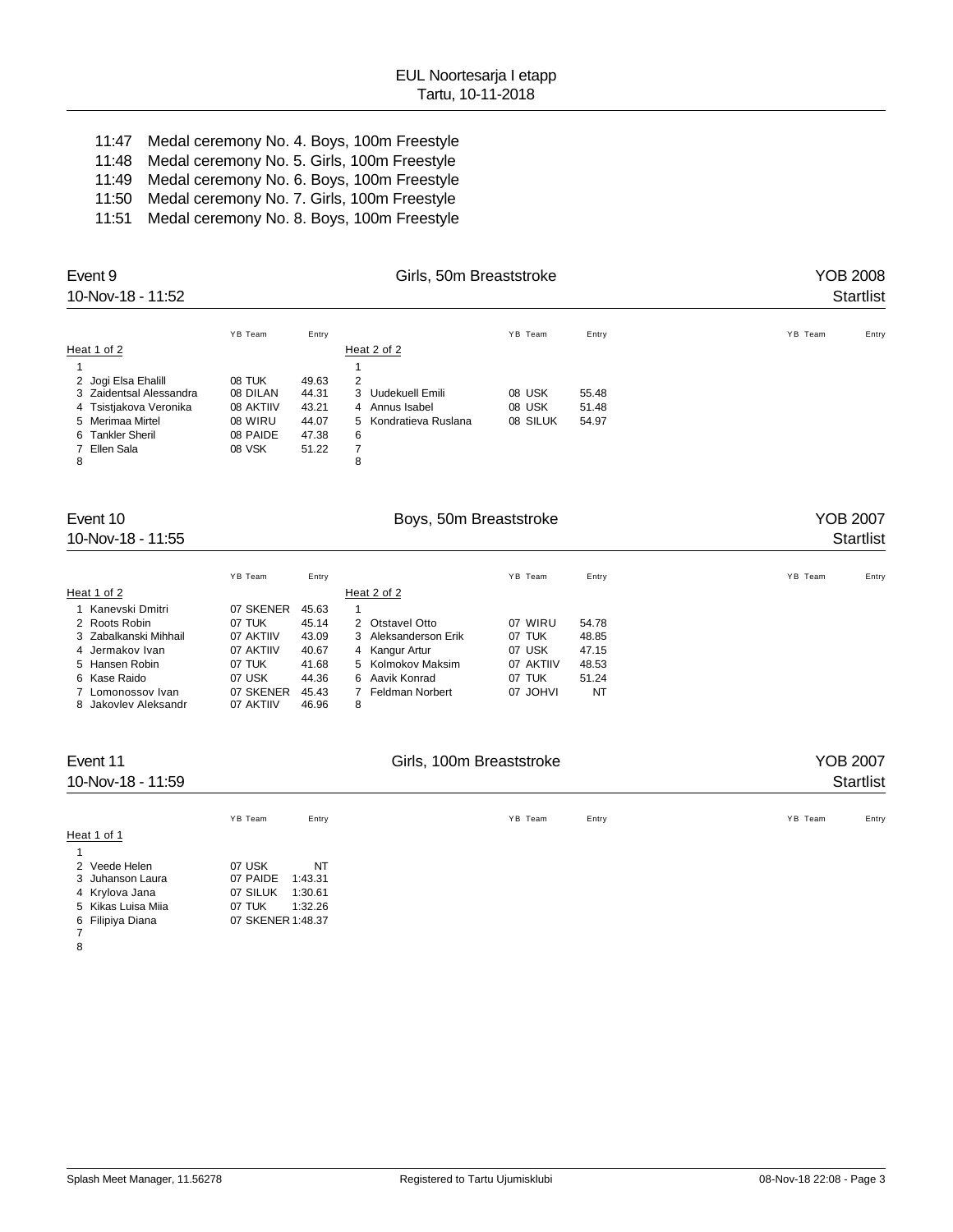11:47 Medal ceremony No. 4. Boys, 100m Freestyle 11:48 Medal ceremony No. 5. Girls, 100m Freestyle 11:49 Medal ceremony No. 6. Boys, 100m Freestyle 11:50 Medal ceremony No. 7. Girls, 100m Freestyle 11:51 Medal ceremony No. 8. Boys, 100m Freestyle

| Event 9<br>10-Nov-18 - 11:52                                                            |                                            | <b>YOB 2008</b><br><b>Startlist</b> |                                                            |                             |                         |                                     |
|-----------------------------------------------------------------------------------------|--------------------------------------------|-------------------------------------|------------------------------------------------------------|-----------------------------|-------------------------|-------------------------------------|
| Heat 1 of 2<br>2 Jogi Elsa Ehalill<br>3 Zaidentsal Alessandra<br>4 Tsistjakova Veronika | YB Team<br>08 TUK<br>08 DILAN<br>08 AKTIIV | Entry<br>49.63<br>44.31<br>43.21    | Heat 2 of 2<br>2<br>Uudekuell Emili<br>3<br>4 Annus Isabel | YB Team<br>08 USK<br>08 USK | Entry<br>55.48<br>51.48 | YB Team<br>Entry                    |
| 5 Merimaa Mirtel<br>6 Tankler Sheril<br>7 Ellen Sala<br>8                               | 08 WIRU<br>08 PAIDE<br>08 VSK              | 44.07<br>47.38<br>51.22             | Kondratieva Ruslana<br>5.<br>6<br>7<br>8                   | 08 SILUK                    | 54.97                   |                                     |
| Event 10<br>10-Nov-18 - 11:55                                                           |                                            |                                     | Boys, 50m Breaststroke                                     |                             |                         | <b>YOB 2007</b><br><b>Startlist</b> |
|                                                                                         | YB Team                                    | Entry                               |                                                            | YB Team                     | Entry                   | YB Team<br>Entry                    |

| Heat 1 of 2           |           |       | Heat 2 of 2          |           |       |  |
|-----------------------|-----------|-------|----------------------|-----------|-------|--|
| 1 Kanevski Dmitri     | 07 SKENER | 45.63 |                      |           |       |  |
| 2 Roots Robin         | 07 TUK    | 45.14 | 2 Otstavel Otto      | 07 WIRU   | 54.78 |  |
| 3 Zabalkanski Mihhail | 07 AKTIIV | 43.09 | 3 Aleksanderson Erik | 07 TUK    | 48.85 |  |
| 4 Jermakov Ivan       | 07 AKTIIV | 40.67 | 4 Kangur Artur       | 07 USK    | 47.15 |  |
| 5 Hansen Robin        | 07 TUK    | 41.68 | 5 Kolmokov Maksim    | 07 AKTIIV | 48.53 |  |
| 6 Kase Raido          | 07 USK    | 44.36 | 6 Aavik Konrad       | 07 TUK    | 51.24 |  |
| 7 Lomonossov Ivan     | 07 SKENER | 45.43 | Feldman Norbert      | 07 JOHVI  | NT    |  |
| 8 Jakovlev Aleksandr  | 07 AKTIIV | 46.96 | 8                    |           |       |  |

| Event 11<br>10-Nov-18 - 11:59 |                   |         | <b>YOB 2007</b><br><b>Startlist</b> |                  |
|-------------------------------|-------------------|---------|-------------------------------------|------------------|
|                               | YB Team           | Entry   | YB Team<br>Entry                    | YB Team<br>Entry |
| Heat 1 of 1                   |                   |         |                                     |                  |
|                               |                   |         |                                     |                  |
| 2 Veede Helen                 | 07 USK            | NT      |                                     |                  |
| 3 Juhanson Laura              | 07 PAIDE          | 1:43.31 |                                     |                  |
| 4 Krylova Jana                | 07 SILUK          | 1:30.61 |                                     |                  |
| 5 Kikas Luisa Miia            | 07 TUK            | 1:32.26 |                                     |                  |
| 6 Filipiya Diana              | 07 SKENER 1:48.37 |         |                                     |                  |

8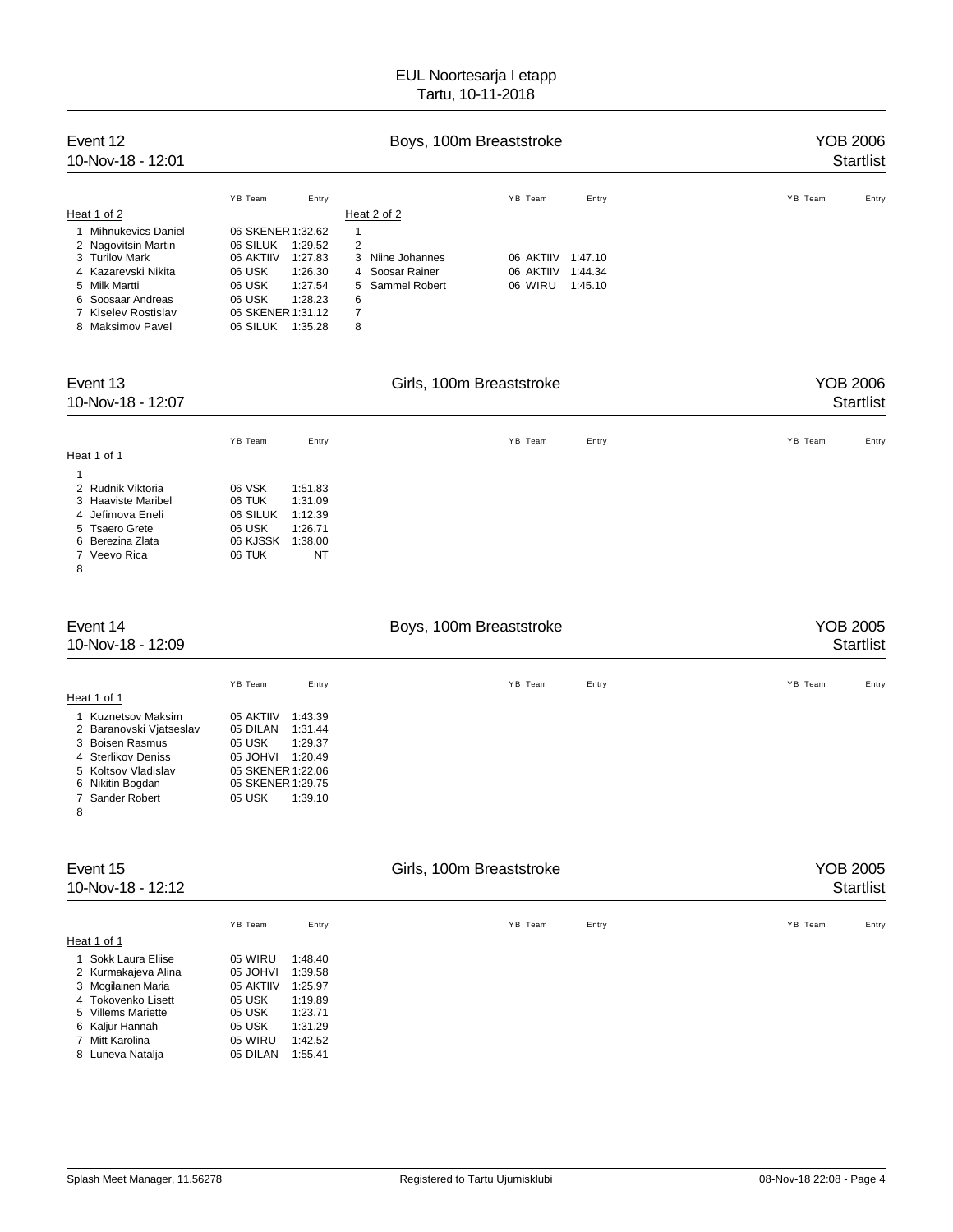| Event 12<br>10-Nov-18 - 12:01 |                   |         | YOB 2006<br><b>Startlist</b> |           |         |         |       |
|-------------------------------|-------------------|---------|------------------------------|-----------|---------|---------|-------|
|                               | YB Team           | Entry   |                              | YB Team   | Entry   | YB Team | Entry |
| Heat 1 of 2                   |                   |         | Heat 2 of 2                  |           |         |         |       |
| 1 Mihnukevics Daniel          | 06 SKENER 1:32.62 |         | 1                            |           |         |         |       |
| 2 Nagovitsin Martin           | 06 SILUK          | 1:29.52 | 2                            |           |         |         |       |
| 3 Turilov Mark                | 06 AKTIIV         | 1:27.83 | 3 Niine Johannes             | 06 AKTIIV | 1:47.10 |         |       |
| 4 Kazarevski Nikita           | 06 USK            | 1:26.30 | 4 Soosar Rainer              | 06 AKTIIV | 1:44.34 |         |       |
| 5 Milk Martti                 | 06 USK            | 1:27.54 | 5 Sammel Robert              | 06 WIRU   | 1:45.10 |         |       |
| 6 Soosaar Andreas             | 06 USK            | 1:28.23 | 6                            |           |         |         |       |
| 7 Kiselev Rostislav           | 06 SKENER 1:31.12 |         | 7                            |           |         |         |       |
| 8 Maksimov Pavel              | 06 SILUK          | 1:35.28 | 8                            |           |         |         |       |

| Event 13<br>10-Nov-18 - 12:07 |          |         | <b>YOB 2006</b><br><b>Startlist</b> |       |                  |
|-------------------------------|----------|---------|-------------------------------------|-------|------------------|
|                               | YB Team  | Entry   | YB Team                             | Entry | YB Team<br>Entry |
| Heat 1 of 1                   |          |         |                                     |       |                  |
|                               |          |         |                                     |       |                  |
| 2 Rudnik Viktoria             | 06 VSK   | 1:51.83 |                                     |       |                  |
| 3 Haaviste Maribel            | 06 TUK   | 1:31.09 |                                     |       |                  |
| 4 Jefimova Eneli              | 06 SILUK | 1:12.39 |                                     |       |                  |
| 5 Tsaero Grete                | 06 USK   | 1:26.71 |                                     |       |                  |
| 6 Berezina Zlata              | 06 KJSSK | 1:38.00 |                                     |       |                  |
| 7 Veevo Rica                  | 06 TUK   | NT      |                                     |       |                  |
| 8                             |          |         |                                     |       |                  |

| Event 14<br>10-Nov-18 - 12:09 |                   |         | <b>YOB 2005</b><br><b>Startlist</b> |       |                  |
|-------------------------------|-------------------|---------|-------------------------------------|-------|------------------|
|                               | YB Team           | Entry   | YB Team                             | Entry | YB Team<br>Entry |
| Heat 1 of 1                   |                   |         |                                     |       |                  |
| Kuznetsov Maksim              | 05 AKTIIV         | 1:43.39 |                                     |       |                  |
| 2 Baranovski Vjatseslav       | 05 DILAN          | 1:31.44 |                                     |       |                  |
| 3 Boisen Rasmus               | 05 USK            | 1:29.37 |                                     |       |                  |
| 4 Sterlikov Deniss            | 05 JOHVI          | 1:20.49 |                                     |       |                  |
| 5 Koltsov Vladislav           | 05 SKENER 1:22.06 |         |                                     |       |                  |
| 6 Nikitin Bogdan              | 05 SKENER 1:29.75 |         |                                     |       |                  |
| 7 Sander Robert               | 05 USK            | 1:39.10 |                                     |       |                  |
| 8                             |                   |         |                                     |       |                  |
|                               |                   |         |                                     |       |                  |
| Fyent 15                      |                   |         | Girls, 100m Breaststroke            |       | YOB 2005         |

| EVUIL IJ<br>10-Nov-18 - 12:12 |           |         | טטא כוט ו<br>Startlist |       |                  |
|-------------------------------|-----------|---------|------------------------|-------|------------------|
|                               | YB Team   | Entry   | YB Team                | Entry | YB Team<br>Entry |
| Heat 1 of 1                   |           |         |                        |       |                  |
| 1 Sokk Laura Eliise           | 05 WIRU   | 1:48.40 |                        |       |                  |
| 2 Kurmakajeva Alina           | 05 JOHVI  | 1:39.58 |                        |       |                  |
| 3 Mogilainen Maria            | 05 AKTIIV | 1:25.97 |                        |       |                  |
| 4 Tokovenko Lisett            | 05 USK    | 1:19.89 |                        |       |                  |
| 5 Villems Mariette            | 05 USK    | 1:23.71 |                        |       |                  |
| 6 Kaljur Hannah               | 05 USK    | 1:31.29 |                        |       |                  |
| 7 Mitt Karolina               | 05 WIRU   | 1:42.52 |                        |       |                  |
| 8 Luneva Natalia              | 05 DILAN  | 1:55.41 |                        |       |                  |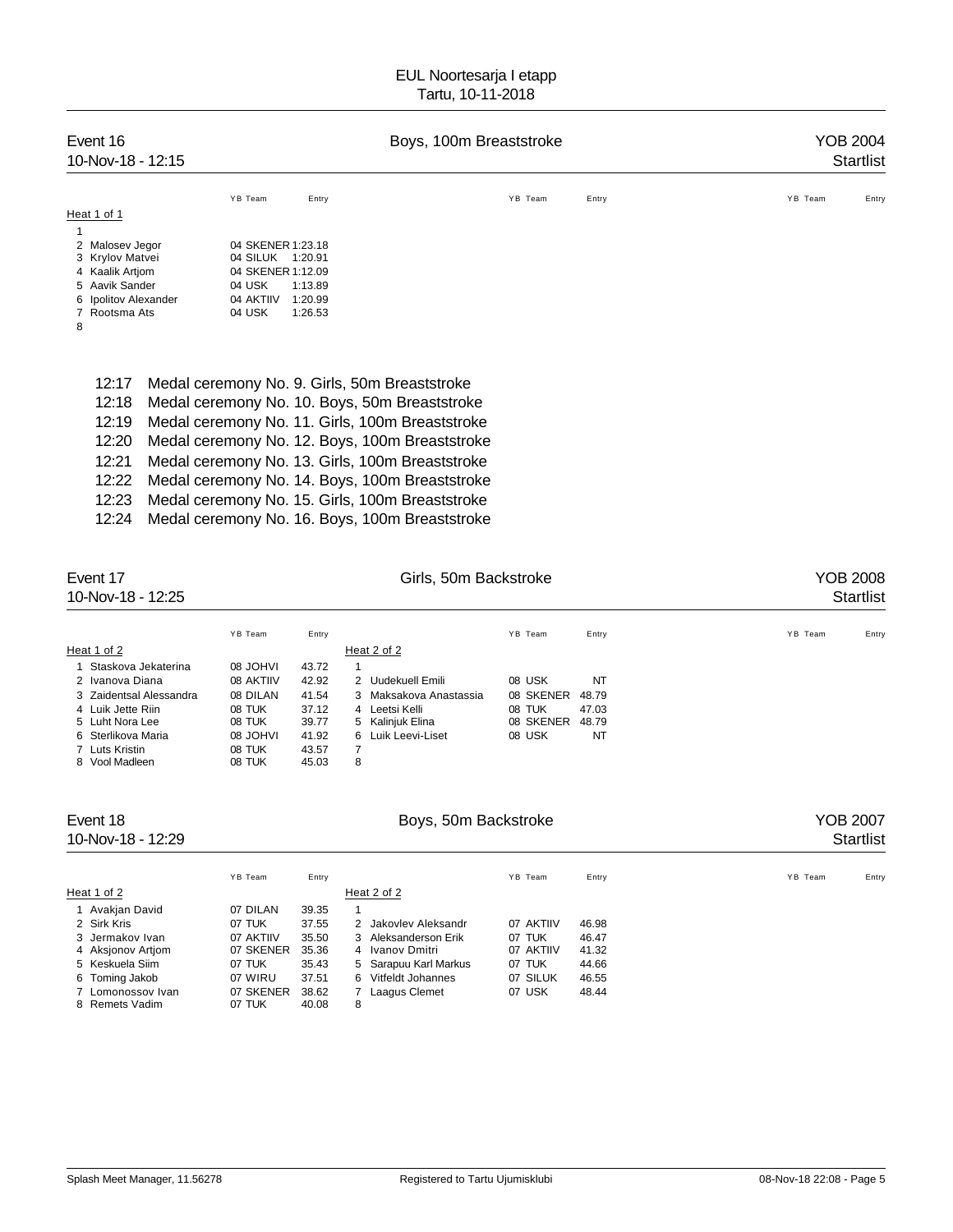| Event 16<br>10-Nov-18 - 12:15                                                                                                         |                               | Boys, 100m Breaststroke                                                                                                                                                                                                                                                                                  | YOB 2004<br>Startlist |       |                  |
|---------------------------------------------------------------------------------------------------------------------------------------|-------------------------------|----------------------------------------------------------------------------------------------------------------------------------------------------------------------------------------------------------------------------------------------------------------------------------------------------------|-----------------------|-------|------------------|
|                                                                                                                                       | YB Team                       | Entry                                                                                                                                                                                                                                                                                                    | YB Team               | Entry | YB Team<br>Entry |
| Heat 1 of 1<br>2 Malosev Jegor<br>3 Krylov Matvei<br>4 Kaalik Artjom<br>5 Aavik Sander<br>Ipolitov Alexander<br>6<br>Rootsma Ats<br>8 | 04 USK<br>04 AKTIIV<br>04 USK | 04 SKENER 1:23.18<br>04 SILUK 1:20.91<br>04 SKENER 1:12.09<br>1:13.89<br>1:20.99<br>1:26.53                                                                                                                                                                                                              |                       |       |                  |
| 12:17<br>12:18<br>12:19<br>12:20<br>12:21<br>12:22                                                                                    |                               | Medal ceremony No. 9. Girls, 50m Breaststroke<br>Medal ceremony No. 10. Boys, 50m Breaststroke<br>Medal ceremony No. 11. Girls, 100m Breaststroke<br>Medal ceremony No. 12. Boys, 100m Breaststroke<br>Medal ceremony No. 13. Girls, 100m Breaststroke<br>Medal ceremony No. 14. Boys, 100m Breaststroke |                       |       |                  |

|  |  | 12:23 Medal ceremony No. 15. Girls, 100m Breaststroke |
|--|--|-------------------------------------------------------|
|  |  |                                                       |

| 12:24 Medal ceremony No. 16. Boys, 100m Breaststroke |  |  |
|------------------------------------------------------|--|--|
|                                                      |  |  |

| Event 17<br>10-Nov-18 - 12:25 |                 | Girls, 50m Backstroke |   |                        |           |           |       | YOB 2008<br><b>Startlist</b> |  |       |
|-------------------------------|-----------------|-----------------------|---|------------------------|-----------|-----------|-------|------------------------------|--|-------|
|                               | YB Team         | Entry                 |   |                        | YB Team   |           | Entry | YB Team                      |  | Entry |
| Heat 1 of 2                   |                 |                       |   | Heat 2 of 2            |           |           |       |                              |  |       |
| 1 Staskova Jekaterina         | IVHOL 80        | 43.72                 | 1 |                        |           |           |       |                              |  |       |
| 2 Ivanova Diana               | 08 AKTIIV       | 42.92                 |   | 2 Uudekuell Emili      | 08 USK    |           | NT    |                              |  |       |
| 3 Zaidentsal Alessandra       | 08 DILAN        | 41.54                 |   | 3 Maksakova Anastassia | 08 SKENER |           | 48.79 |                              |  |       |
| 4 Luik Jette Riin             | 08 TUK          | 37.12                 |   | 4 Leetsi Kelli         | 08 TUK    |           | 47.03 |                              |  |       |
| 5 Luht Nora Lee               | 08 TUK          | 39.77                 |   | 5 Kalinjuk Elina       |           | 08 SKENER | 48.79 |                              |  |       |
| 6 Sterlikova Maria            | <b>IVHOL 80</b> | 41.92                 |   | 6 Luik Leevi-Liset     | 08 USK    |           | NT    |                              |  |       |
| 7 Luts Kristin                | 08 TUK          | 43.57                 | 7 |                        |           |           |       |                              |  |       |
| 8 Vool Madleen                | 08 TUK          | 45.03                 | 8 |                        |           |           |       |                              |  |       |

| Event 18<br>10-Nov-18 - 12:29       |                     |                |                       | YOB 2007<br><b>Startlist</b> |       |         |       |
|-------------------------------------|---------------------|----------------|-----------------------|------------------------------|-------|---------|-------|
|                                     | YB Team             | Entry          |                       | YB Team                      | Entry | YB Team | Entry |
| Heat 1 of 2                         |                     |                | Heat 2 of 2           |                              |       |         |       |
| 1 Avakjan David                     | 07 DILAN            | 39.35          | $\overline{1}$        |                              |       |         |       |
| 2 Sirk Kris                         | 07 TUK              | 37.55          | 2 Jakovlev Aleksandr  | 07 AKTIIV                    | 46.98 |         |       |
| 3 Jermakov Ivan                     | 07 AKTIIV           | 35.50          | 3 Aleksanderson Erik  | 07 TUK                       | 46.47 |         |       |
| 4 Aksjonov Artjom                   | 07 SKENER           | 35.36          | 4 Ivanov Dmitri       | 07 AKTIIV                    | 41.32 |         |       |
| 5 Keskuela Siim                     | 07 TUK              | 35.43          | 5 Sarapuu Karl Markus | 07 TUK                       | 44.66 |         |       |
| 6 Toming Jakob                      | 07 WIRU             | 37.51          | 6 Vitfeldt Johannes   | 07 SILUK                     | 46.55 |         |       |
| 7 Lomonossov Ivan<br>8 Remets Vadim | 07 SKENER<br>07 TUK | 38.62<br>40.08 | Laagus Clemet<br>8    | 07 USK                       | 48.44 |         |       |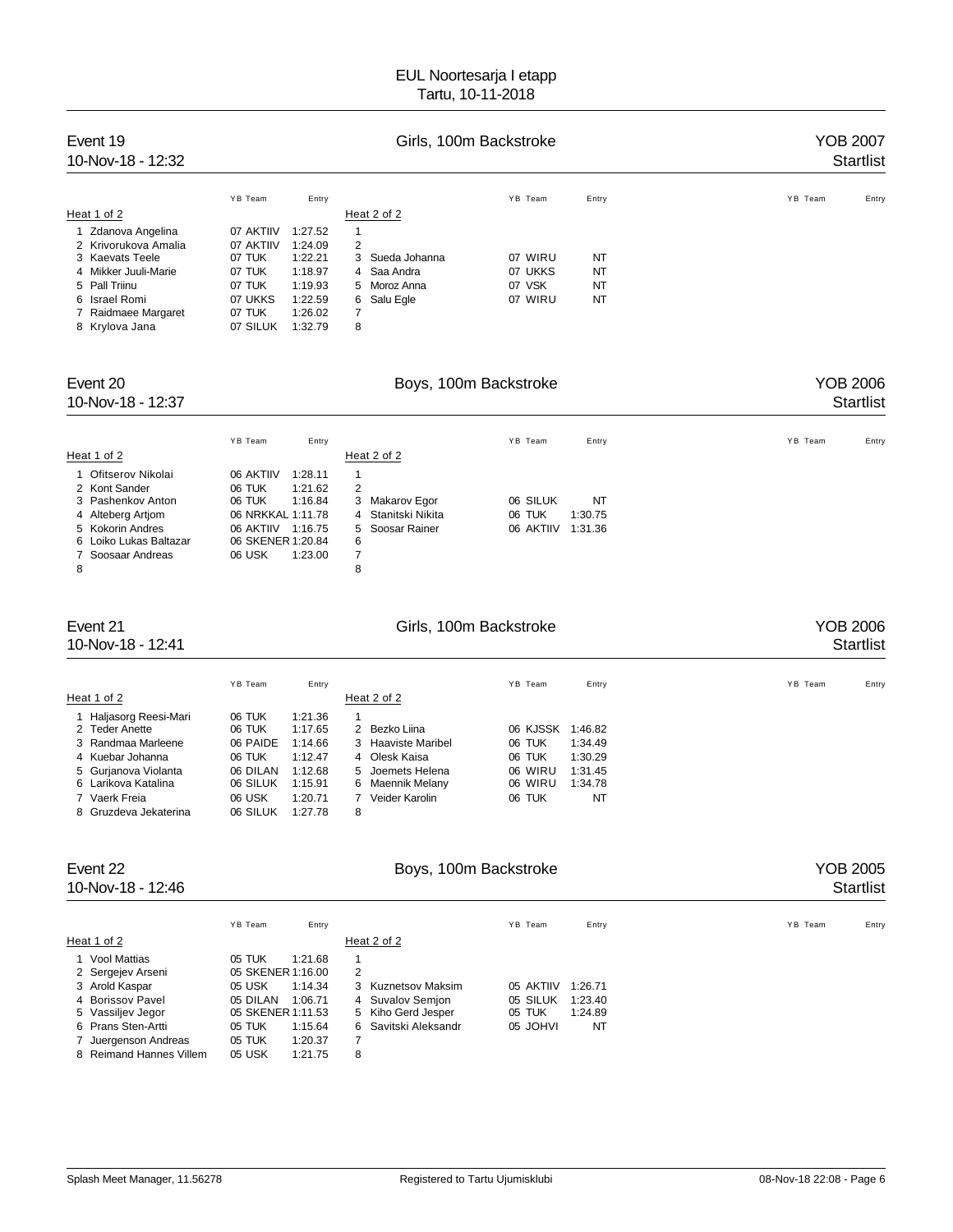| Event 19<br>10-Nov-18 - 12:32 |           |         | YOB 2007<br><b>Startlist</b> |                 |         |           |                  |
|-------------------------------|-----------|---------|------------------------------|-----------------|---------|-----------|------------------|
|                               | YB Team   | Entry   |                              |                 | YB Team | Entry     | YB Team<br>Entry |
| Heat 1 of 2                   |           |         |                              | Heat 2 of 2     |         |           |                  |
| 1 Zdanova Angelina            | 07 AKTIIV | 1:27.52 | 1                            |                 |         |           |                  |
| 2 Krivorukova Amalia          | 07 AKTIIV | 1:24.09 | 2                            |                 |         |           |                  |
| 3 Kaevats Teele               | 07 TUK    | 1:22.21 |                              | 3 Sueda Johanna | 07 WIRU | <b>NT</b> |                  |
| 4 Mikker Juuli-Marie          | 07 TUK    | 1:18.97 |                              | 4 Saa Andra     | 07 UKKS | <b>NT</b> |                  |
| 5 Pall Triinu                 | 07 TUK    | 1:19.93 |                              | 5 Moroz Anna    | 07 VSK  | <b>NT</b> |                  |
| 6 Israel Romi                 | 07 UKKS   | 1:22.59 |                              | 6 Salu Egle     | 07 WIRU | <b>NT</b> |                  |
| 7 Raidmaee Margaret           | 07 TUK    | 1:26.02 | 7                            |                 |         |           |                  |
| 8 Krylova Jana                | 07 SILUK  | 1:32.79 | 8                            |                 |         |           |                  |

| Event 20<br>10-Nov-18 - 12:37 | Boys, 100m Backstroke |         |                | YOB 2006<br><b>Startlist</b> |           |         |         |       |
|-------------------------------|-----------------------|---------|----------------|------------------------------|-----------|---------|---------|-------|
|                               | YB Team               | Entry   |                |                              | YB Team   | Entry   | YB Team | Entry |
| Heat 1 of 2                   |                       |         |                | Heat 2 of 2                  |           |         |         |       |
| 1 Ofitserov Nikolai           | 06 AKTIIV             | 1:28.11 |                |                              |           |         |         |       |
| 2 Kont Sander                 | 06 TUK                | 1:21.62 | 2              |                              |           |         |         |       |
| 3 Pashenkov Anton             | 06 TUK                | 1:16.84 |                | 3 Makarov Egor               | 06 SILUK  | NT      |         |       |
| 4 Alteberg Artiom             | 06 NRKKAL 1:11.78     |         |                | 4 Stanitski Nikita           | 06 TUK    | 1:30.75 |         |       |
| 5 Kokorin Andres              | 06 AKTIIV             | 1:16.75 |                | 5 Soosar Rainer              | 06 AKTIIV | 1:31.36 |         |       |
| 6 Loiko Lukas Baltazar        | 06 SKENER 1:20.84     |         | 6              |                              |           |         |         |       |
| 7 Soosaar Andreas             | 06 USK                | 1:23.00 | $\overline{7}$ |                              |           |         |         |       |
| 8                             |                       |         | 8              |                              |           |         |         |       |

#### Event 21 Cirls, 100m Backstroke Communications of the YOB 2006

## 10-Nov-18 - 12:41 Startlist

YB Team Entry Entry Entry The YB Team Entry State of the State of the State of the State of the State of the S Heat 1 of 2 Heat 2 of 2 1 Haljasorg Reesi-Mari 06 TUK 1:21.36 1<br>2 Teder Anette 106 TUK 1:17.65 2 Bezko Liina 2 Teder Anette 1:17.65 2 Bezko Liina 106 KJSSK 1:46.82<br>2 Teder Anette 1:14.66 3 Haaviste Maribel 106 TUK 1:34.49 3 Randmaa Marleene 06 PAIDE 1:14.66 3 Haaviste Maribel 06 TUK 1:34.49 4 Kuebar Johanna 06 TUK 1:12.47 4 Olesk Kaisa 06 TUK 1:30.29 5 Gurjanova Violanta 06 DILAN 1:12.68 5 Joemets Helena 06 WIRU 1:31.45 6 Larikova Katalina 06 SILUK 1:15.91 6 Maennik Melany 06 WIRU 1:34.78 Veider Karolin 8 Gruzdeva Jekaterina 06 SILUK 1:27.78 8

Event 22 **Boys, 100m Backstroke Boys**, 100m Backstroke **YOB** 2005 10-Nov-18 - 12:46 Startlist YB Team Entry Entry Entry The YB Team Entry States of the States of the States of the States of the YB Team Entry Heat 1 of 2 Heat 2 of 2 1 Vool Mattias 05 TUK 1:21.68 1 2 Sergejev Arseni 05 SKENER 1:16.00 2

| Z Seigelev Arseni       | UD ONEINER 1.10.00 |         |   |                      |           |         |
|-------------------------|--------------------|---------|---|----------------------|-----------|---------|
| 3 Arold Kaspar          | 05 USK             | 1:14.34 |   | 3 Kuznetsov Maksim   | 05 AKTIIV | 1:26.71 |
| 4 Borissov Pavel        | 05 DILAN           | 1:06.71 |   | 4 Suvalov Semjon     | 05 SILUK  | 1:23.40 |
| 5 Vassiljev Jegor       | 05 SKENER 1:11.53  |         |   | 5 Kiho Gerd Jesper   | 05 TUK    | 1:24.89 |
| 6 Prans Sten-Artti      | 05 TUK             | 1:15.64 |   | 6 Savitski Aleksandr | 05 JOHVI  | NT      |
| 7 Juergenson Andreas    | 05 TUK             | 1:20.37 |   |                      |           |         |
| 8 Reimand Hannes Villem | 05 USK             | 1:21.75 | 8 |                      |           |         |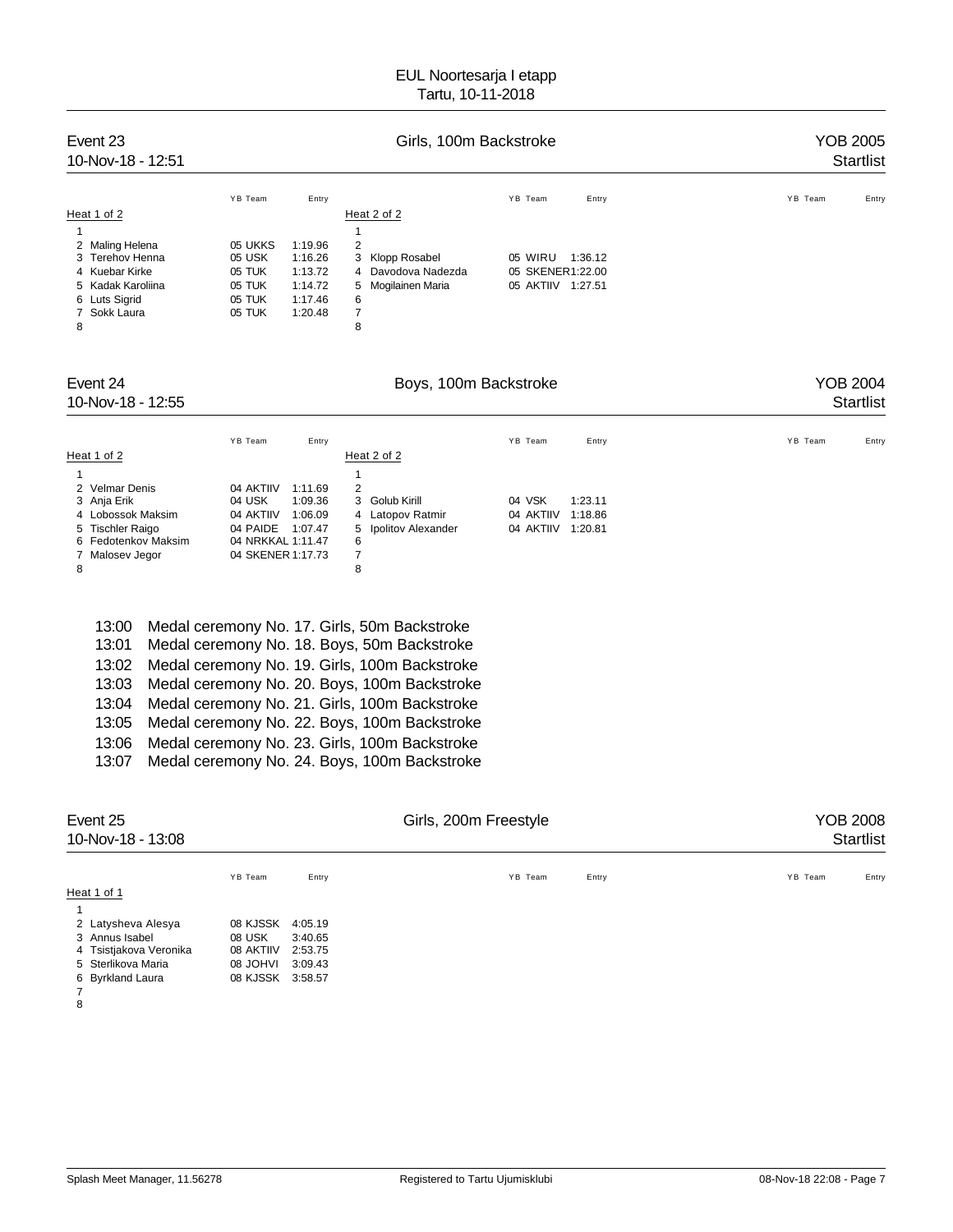| Event 23<br>10-Nov-18 - 12:51 | Girls, 100m Backstroke |                    |                       | YOB 2005<br><b>Startlist</b> |                  |
|-------------------------------|------------------------|--------------------|-----------------------|------------------------------|------------------|
|                               | YB Team                | Entry              |                       | YB Team<br>Entry             | YB Team<br>Entry |
| Heat 1 of 2                   |                        |                    | Heat 2 of 2           |                              |                  |
| 1                             |                        |                    |                       |                              |                  |
| 2 Maling Helena               | 05 UKKS                | 1:19.96            | 2                     |                              |                  |
| Terehov Henna<br>3            | 05 USK                 | 1:16.26            | Klopp Rosabel<br>3    | 05 WIRU<br>1:36.12           |                  |
| 4 Kuebar Kirke                | 05 TUK                 | 1:13.72            | Davodova Nadezda<br>4 | 05 SKENER1:22.00             |                  |
| 5 Kadak Karoliina             | 05 TUK<br>05 TUK       | 1:14.72<br>1:17.46 | Mogilainen Maria<br>5 | 05 AKTIIV 1:27.51            |                  |
| 6 Luts Sigrid<br>Sokk Laura   | 05 TUK                 | 1:20.48            | 6<br>$\overline{7}$   |                              |                  |
| 8                             |                        |                    | 8                     |                              |                  |
| Event 24                      |                        |                    | Boys, 100m Backstroke |                              | <b>YOB 2004</b>  |
| 10-Nov-18 - 12:55             |                        |                    |                       |                              | <b>Startlist</b> |
|                               | YB Team                | Entry              |                       | YB Team<br>Entry             | YB Team<br>Entry |
| Heat 1 of 2                   |                        |                    | Heat 2 of 2           |                              |                  |
|                               |                        |                    |                       |                              |                  |
| <b>Velmar Denis</b><br>2      | 04 AKTIIV              | 1:11.69            | $\overline{2}$        |                              |                  |

| 13:00 | Medal ceremony No. 17. Girls, 50m Backstroke  |
|-------|-----------------------------------------------|
| 13:01 | Medal ceremony No. 18. Boys, 50m Backstroke   |
| 13:02 | Medal ceremony No. 19. Girls, 100m Backstroke |
| 13:03 | Medal ceremony No. 20. Boys, 100m Backstroke  |
| 13:04 | Medal ceremony No. 21. Girls, 100m Backstroke |
| 13:05 | Medal ceremony No. 22. Boys, 100m Backstroke  |
| 13:06 | Medal ceremony No. 23. Girls, 100m Backstroke |
| 13:07 | Medal ceremony No. 24. Boys, 100m Backstroke  |

| Event 25<br>10-Nov-18 - 13:08 |                 |         | <b>YOB 2008</b><br>Startlist |       |                  |
|-------------------------------|-----------------|---------|------------------------------|-------|------------------|
|                               | YB Team         | Entry   | YB Team                      | Entry | YB Team<br>Entry |
| Heat 1 of 1                   |                 |         |                              |       |                  |
|                               |                 |         |                              |       |                  |
| 2 Latysheva Alesya            | 08 KJSSK        | 4:05.19 |                              |       |                  |
| 3 Annus Isabel                | 08 USK          | 3:40.65 |                              |       |                  |
| 4 Tsistjakova Veronika        | 08 AKTIIV       | 2:53.75 |                              |       |                  |
| 5 Sterlikova Maria            | <b>IVHOL 80</b> | 3:09.43 |                              |       |                  |
| 6 Byrkland Laura              | 08 KJSSK        | 3:58.57 |                              |       |                  |
|                               |                 |         |                              |       |                  |
| 8                             |                 |         |                              |       |                  |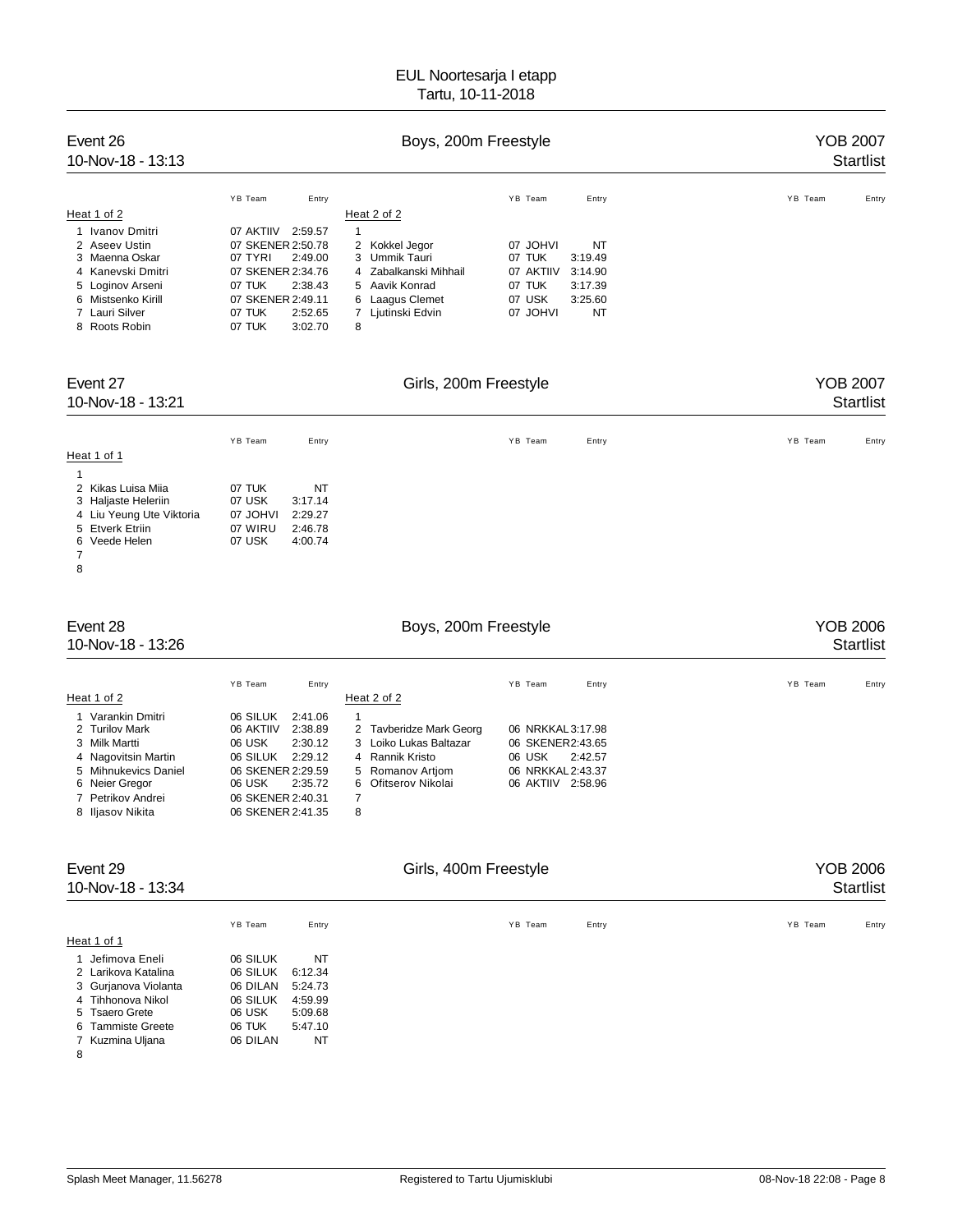| Event 26<br>$10 - Nov - 18 - 13:13$ |                      | YOB 2007<br><b>Startlist</b> |                      |                  |
|-------------------------------------|----------------------|------------------------------|----------------------|------------------|
|                                     | YB Team<br>Entry     |                              | YB Team<br>Entry     | YB Team<br>Entry |
| Heat 1 of 2                         |                      | Heat 2 of 2                  |                      |                  |
| Ivanov Dmitri                       | 07 AKTIIV<br>2:59.57 |                              |                      |                  |
| 2 Aseev Ustin                       | 07 SKENER 2:50.78    | 2 Kokkel Jegor               | 07 JOHVI<br>NT       |                  |
| 3 Maenna Oskar                      | 07 TYRI<br>2:49.00   | 3 Ummik Tauri                | 07 TUK<br>3:19.49    |                  |
| 4 Kanevski Dmitri                   | 07 SKENER 2:34.76    | 4 Zabalkanski Mihhail        | 07 AKTIIV<br>3:14.90 |                  |
| 5 Loginov Arseni                    | 07 TUK<br>2:38.43    | 5 Aavik Konrad               | 07 TUK<br>3:17.39    |                  |
| 6 Mistsenko Kirill                  | 07 SKENER 2:49.11    | 6 Laagus Clemet              | 07 USK<br>3:25.60    |                  |
| 7 Lauri Silver                      | 07 TUK<br>2:52.65    | Ljutinski Edvin              | 07 JOHVI<br>NT       |                  |
| 8 Roots Robin                       | 07 TUK<br>3:02.70    | 8                            |                      |                  |

| Event 27<br>10-Nov-18 - 13:21 |          |         | Girls, 200m Freestyle |       | <b>YOB 2007</b><br>Startlist |
|-------------------------------|----------|---------|-----------------------|-------|------------------------------|
|                               | YB Team  | Entry   | YB Team               | Entry | YB Team<br>Entry             |
| Heat 1 of 1                   |          |         |                       |       |                              |
|                               |          |         |                       |       |                              |
| 2 Kikas Luisa Miia            | 07 TUK   | NT      |                       |       |                              |
| 3 Haljaste Heleriin           | 07 USK   | 3:17.14 |                       |       |                              |
| 4 Liu Yeung Ute Viktoria      | 07 JOHVI | 2:29.27 |                       |       |                              |
| 5 Etverk Etriin               | 07 WIRU  | 2:46.78 |                       |       |                              |
| 6 Veede Helen                 | 07 USK   | 4:00.74 |                       |       |                              |
|                               |          |         |                       |       |                              |

10-Nov-18 - 13:26

# Event 28 **Boys, 200m Freestyle** Boys, 200m Freestyle **Reserve COB 2006** Startlist<br>T0-Nov-18 - 13:26 Startlist

|                      | YB Team<br>Entry     |                         | YB Team<br>Entry     | YB Team<br>Entry |
|----------------------|----------------------|-------------------------|----------------------|------------------|
| Heat 1 of 2          |                      | Heat 2 of 2             |                      |                  |
| 1 Varankin Dmitri    | 06 SILUK<br>2:41.06  |                         |                      |                  |
| 2 Turilov Mark       | 2:38.89<br>06 AKTIIV | 2 Tayberidze Mark Georg | 06 NRKKAL 3:17.98    |                  |
| 3 Milk Martti        | 06 USK<br>2:30.12    | 3 Loiko Lukas Baltazar  | 06 SKENER2:43.65     |                  |
| 4 Nagovitsin Martin  | 2:29.12<br>06 SILUK  | 4 Rannik Kristo         | 06 USK<br>2:42.57    |                  |
| 5 Mihnukevics Daniel | 06 SKENER 2:29.59    | 5 Romanov Artiom        | 06 NRKKAL 2:43.37    |                  |
| 6 Neier Gregor       | 2:35.72<br>06 USK    | 6 Ofitserov Nikolai     | 06 AKTIIV<br>2:58.96 |                  |
| 7 Petrikov Andrei    | 06 SKENER 2:40.31    |                         |                      |                  |
| 8 Iliasov Nikita     | 06 SKENER 2:41.35    | 8                       |                      |                  |

| Event 29<br>10-Nov-18 - 13:34 |                  |         | YOB 2006<br>Startlist |       |                  |
|-------------------------------|------------------|---------|-----------------------|-------|------------------|
|                               | YB Team          | Entry   | YB Team               | Entry | YB Team<br>Entry |
| Heat 1 of 1                   |                  |         |                       |       |                  |
| 1 Jefimova Eneli              | 06 SILUK         | NT      |                       |       |                  |
| 2 Larikova Katalina           | 06 SILUK 6:12.34 |         |                       |       |                  |
| 3 Gurjanova Violanta          | 06 DILAN         | 5:24.73 |                       |       |                  |

|    | 4 Tihhonova Nikol | 06 SILUK | 4:59.99 |
|----|-------------------|----------|---------|
|    | 5 Tsaero Grete    | 06 USK   | 5:09.68 |
|    | 6 Tammiste Greete | 06 TUK   | 5:47.10 |
|    | 7 Kuzmina Uljana  | 06 DILAN | NT      |
| -8 |                   |          |         |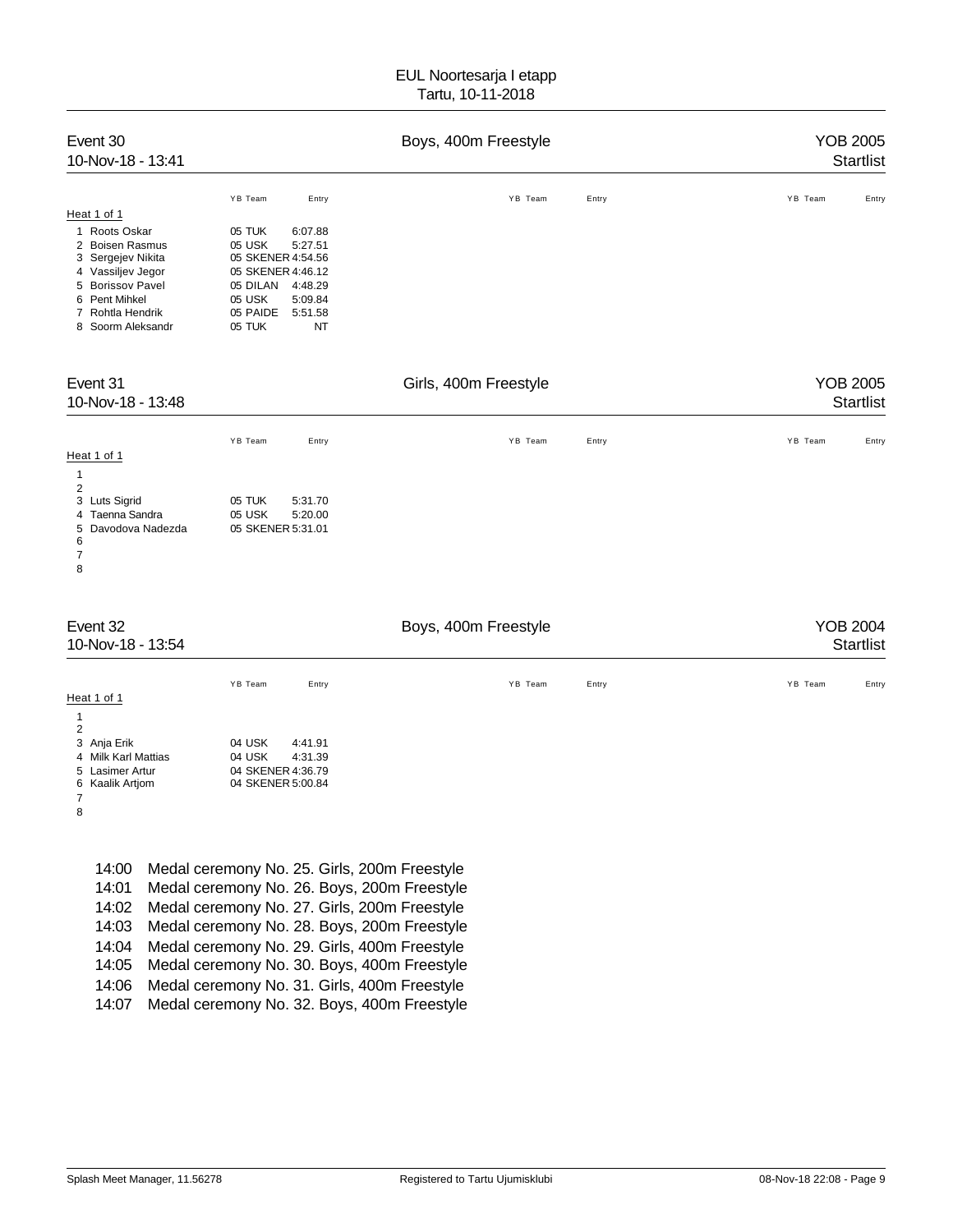| Event 30<br>10-Nov-18 - 13:41                                                                                                                                                                                  |                                                                                                                                                                                                                                                                                                                                                                                          | Boys, 400m Freestyle  |       | <b>YOB 2005</b><br><b>Startlist</b> |
|----------------------------------------------------------------------------------------------------------------------------------------------------------------------------------------------------------------|------------------------------------------------------------------------------------------------------------------------------------------------------------------------------------------------------------------------------------------------------------------------------------------------------------------------------------------------------------------------------------------|-----------------------|-------|-------------------------------------|
| Heat 1 of 1<br>Roots Oskar<br>$\mathbf{1}$<br><b>Boisen Rasmus</b><br>2<br>Sergejev Nikita<br>3<br>Vassiljev Jegor<br>4<br>5 Borissov Pavel<br>Pent Mihkel<br>6<br>7<br>Rohtla Hendrik<br>Soorm Aleksandr<br>8 | YB Team<br>Entry<br>05 TUK<br>6:07.88<br>05 USK<br>5:27.51<br>05 SKENER 4:54.56<br>05 SKENER 4:46.12<br>05 DILAN<br>4:48.29<br>05 USK<br>5:09.84<br>05 PAIDE<br>5:51.58<br>05 TUK<br>NT                                                                                                                                                                                                  | YB Team               | Entry | YB Team<br>Entry                    |
| Event 31<br>10-Nov-18 - 13:48                                                                                                                                                                                  |                                                                                                                                                                                                                                                                                                                                                                                          | Girls, 400m Freestyle |       | <b>YOB 2005</b><br><b>Startlist</b> |
| Heat 1 of 1<br>$\mathbf{1}$<br>$\overline{2}$<br>Luts Sigrid<br>3<br>Taenna Sandra<br>4<br>5<br>Davodova Nadezda<br>6<br>7<br>8                                                                                | YB Team<br>Entry<br>05 TUK<br>5:31.70<br>05 USK<br>5:20.00<br>05 SKENER 5:31.01                                                                                                                                                                                                                                                                                                          | YB Team               | Entry | YB Team<br>Entry                    |
| Event 32<br>10-Nov-18 - 13:54                                                                                                                                                                                  |                                                                                                                                                                                                                                                                                                                                                                                          | Boys, 400m Freestyle  |       | <b>YOB 2004</b><br><b>Startlist</b> |
| Heat 1 of 1<br>$\mathbf{1}$<br>$\overline{c}$<br>3<br>Anja Erik<br><b>Milk Karl Mattias</b><br>4<br>Lasimer Artur<br>5<br>Kaalik Artjom<br>6<br>$\overline{7}$<br>8                                            | YB Team<br>Entry<br>04 USK<br>4:41.91<br>04 USK<br>4:31.39<br>04 SKENER 4:36.79<br>04 SKENER 5:00.84                                                                                                                                                                                                                                                                                     | YB Team               | Entry | YB Team<br>Entry                    |
| 14:00<br>14:01<br>14:02<br>14:03<br>14:04<br>14:05<br>14:06<br>14:07                                                                                                                                           | Medal ceremony No. 25. Girls, 200m Freestyle<br>Medal ceremony No. 26. Boys, 200m Freestyle<br>Medal ceremony No. 27. Girls, 200m Freestyle<br>Medal ceremony No. 28. Boys, 200m Freestyle<br>Medal ceremony No. 29. Girls, 400m Freestyle<br>Medal ceremony No. 30. Boys, 400m Freestyle<br>Medal ceremony No. 31. Girls, 400m Freestyle<br>Medal ceremony No. 32. Boys, 400m Freestyle |                       |       |                                     |